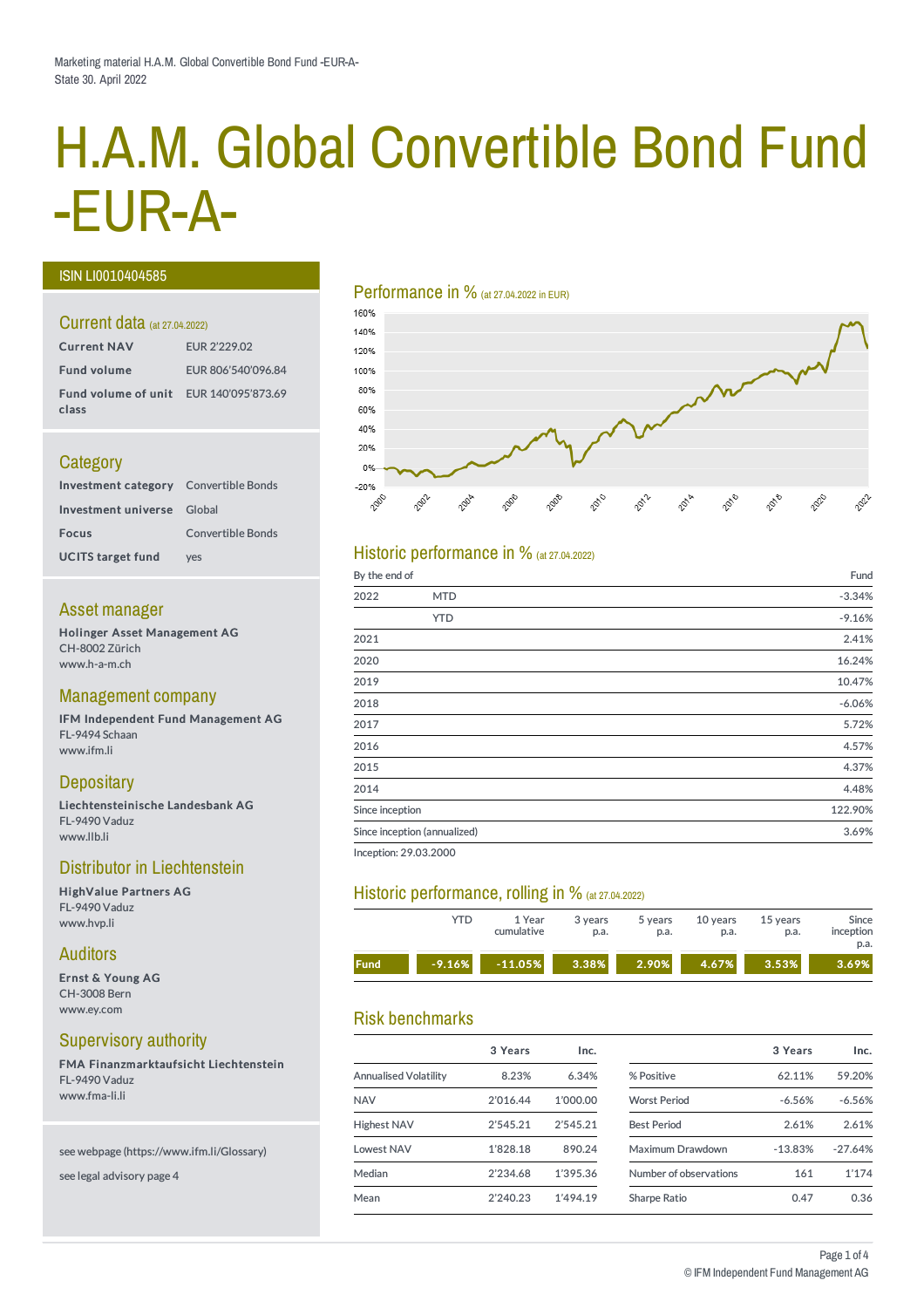# H.A.M. Global Convertible Bond Fund -EUR-A-

#### ISIN LI0010404585

#### Current data (at 27.04.2022)

| <b>Current NAV</b>                                     | EUR 2'229.02       |
|--------------------------------------------------------|--------------------|
| <b>Fund volume</b>                                     | EUR 806'540'096.84 |
| <b>Fund volume of unit</b> EUR 140'095'873.69<br>class |                    |

## **Category**

| <b>Investment category</b> Convertible Bonds |                          |
|----------------------------------------------|--------------------------|
| Investment universe Global                   |                          |
| <b>Focus</b>                                 | <b>Convertible Bonds</b> |
| <b>UCITS target fund</b>                     | <b>ves</b>               |

#### Asset manager

Holinger Asset Management AG CH-8002 Zürich www.h-a-m.ch

#### Management company

IFM Independent Fund Management AG FL-9494 Schaan www.ifm.li

## **Depositary**

Liechtensteinische Landesbank AG FL-9490 Vaduz www.llb.li

#### Distributor in Liechtenstein

HighValue Partners AG FL-9490 Vaduz www.hvp.li

#### Auditors

Ernst & Young AG CH-3008 Bern www.ey.com

## Supervisory authority

FMA Finanzmarktaufsicht Liechtenstein FL-9490 Vaduz www.fma-li.li

#### see webpage (https://www.ifm.li/Glossary)

see legal advisory page 4

#### Performance in % (at 27.04.2022 in EUR)



## Historic performance in  $%$  (at 27.04.2022)

| By the end of   |                              | Fund     |
|-----------------|------------------------------|----------|
| 2022            | <b>MTD</b>                   | $-3.34%$ |
|                 | <b>YTD</b>                   | $-9.16%$ |
| 2021            |                              | 2.41%    |
| 2020            |                              | 16.24%   |
| 2019            |                              | 10.47%   |
| 2018            |                              | $-6.06%$ |
| 2017            |                              | 5.72%    |
| 2016            |                              | 4.57%    |
| 2015            |                              | 4.37%    |
| 2014            |                              | 4.48%    |
| Since inception |                              | 122.90%  |
|                 | Since inception (annualized) | 3.69%    |
|                 |                              |          |

Inception: 29.03.2000

## Historic performance, rolling in % (at 27.04.2022)

|             | YTD      | 1 Year<br>cumulative | 3 years<br>p.a. | 5 years<br>p.a. | 10 years<br>p.a. | 15 years<br>p.a. | Since<br>inception<br>p.a. |
|-------------|----------|----------------------|-----------------|-----------------|------------------|------------------|----------------------------|
| <b>Fund</b> | $-9.16%$ | $-11.05%$            | 3.38%           | 2.90%           | 4.67%            | 3.53%            | 3.69%                      |

## Risk benchmarks

|                       | 3 Years  | Inc.     |
|-----------------------|----------|----------|
| Annualised Volatility | 8.23%    | 6.34%    |
| <b>NAV</b>            | 2'016.44 | 1'000.00 |
| <b>Highest NAV</b>    | 2'545.21 | 2'545.21 |
| Lowest NAV            | 1'828.18 | 890.24   |
| Median                | 2'234.68 | 1'395.36 |
| Mean                  | 2'240.23 | 1'494.19 |
|                       |          |          |

| 3 Years   | Inc.      |
|-----------|-----------|
| 62.11%    | 59.20%    |
| $-6.56%$  | $-6.56%$  |
| 2.61%     | 2.61%     |
| $-13.83%$ | $-27.64%$ |
| 161       | 1'174     |
| 0.47      | 0.36      |
|           |           |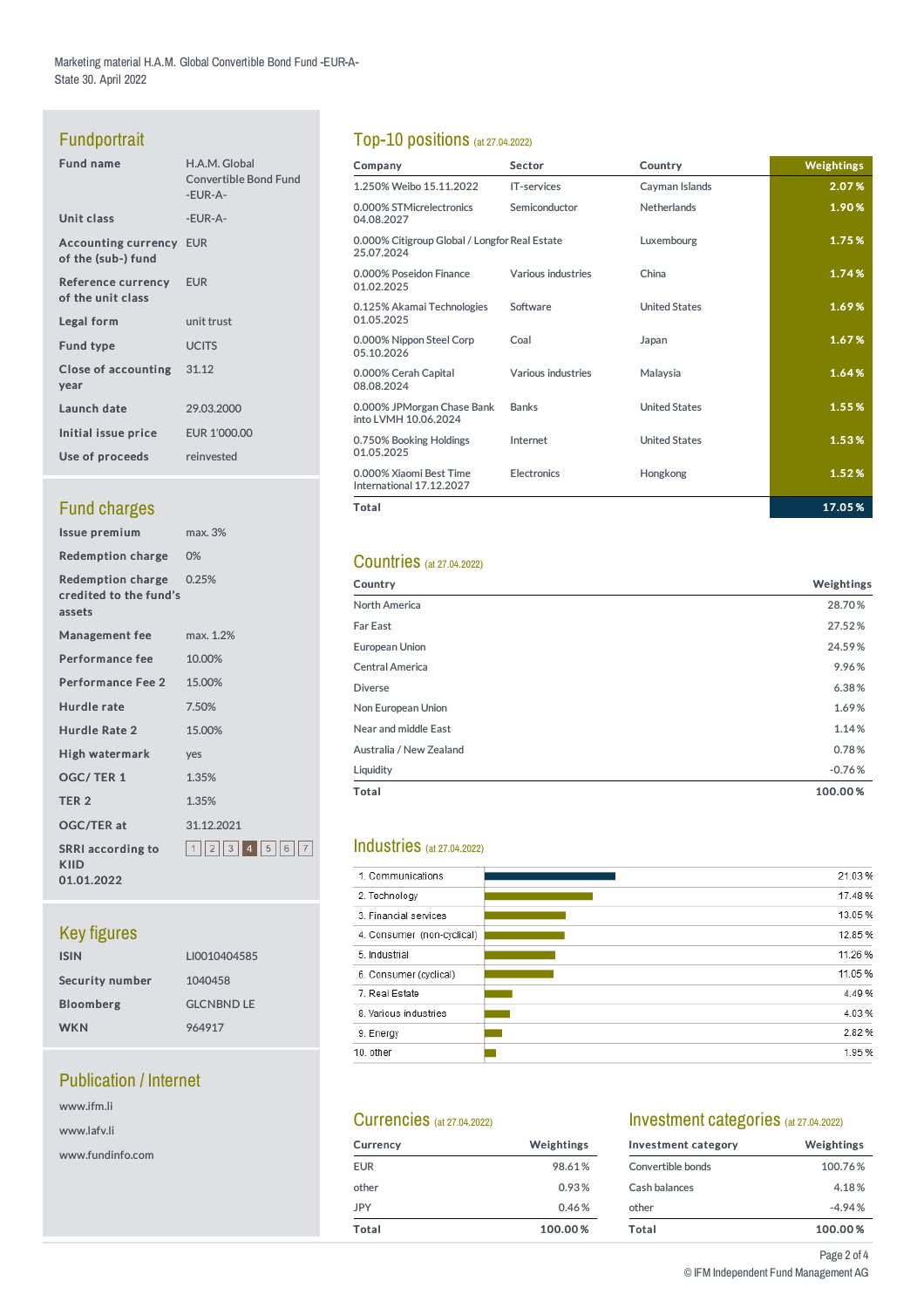Marketing material H.A.M. Global Convertible Bond Fund -EUR-A-State30. April 2022

## Fundportrait

| <b>Fund name</b>                                     | H.A.M. Global<br><b>Convertible Bond Fund</b><br>-EUR-A- |
|------------------------------------------------------|----------------------------------------------------------|
| Unit class                                           | -EUR-A-                                                  |
| <b>Accounting currency EUR</b><br>of the (sub-) fund |                                                          |
| Reference currency<br>of the unit class              | <b>EUR</b>                                               |
| Legal form                                           | unit trust                                               |
| <b>Fund type</b>                                     | <b>UCITS</b>                                             |
| Close of accounting 31.12<br>year                    |                                                          |
| Launch date                                          | 29.03.2000                                               |
| Initial issue price                                  | EUR 1'000.00                                             |
| Use of proceeds                                      | reinvested                                               |
|                                                      |                                                          |

## **Fund charges**

| <b>Issue premium</b>                                  | max. 3%             |
|-------------------------------------------------------|---------------------|
| <b>Redemption charge</b>                              | 0%                  |
| Redemption charge<br>credited to the fund's<br>assets | 0.25%               |
| <b>Management fee</b>                                 | max. 1.2%           |
| <b>Performance fee</b>                                | 10.00%              |
| <b>Performance Fee 2</b>                              | 15.00%              |
| <b>Hurdle rate</b>                                    | 7.50%               |
| <b>Hurdle Rate 2</b>                                  | 15.00%              |
| High watermark                                        | ves                 |
| <b>OGC/TER1</b>                                       | 1.35%               |
| TER <sub>2</sub>                                      | 1.35%               |
| <b>OGC/TER at</b>                                     | 31.12.2021          |
| <b>SRRI</b> according to<br>KIID<br>01.01.2022        | 1  2  3  4  5  6  7 |

## Key figures

| <b>ISIN</b>      | LI0010404585      |
|------------------|-------------------|
| Security number  | 1040458           |
| <b>Bloomberg</b> | <b>GLCNBND LE</b> |
| <b>WKN</b>       | 964917            |

## Publication / Internet

| www.ifm.li  |  |
|-------------|--|
| www.lafv.li |  |

www.fundinfo.com

## Top-10 positions (at 27.04.2022)

| Company                                                     | Sector             | Country              | Weightings |
|-------------------------------------------------------------|--------------------|----------------------|------------|
| 1.250% Weibo 15.11.2022                                     | <b>IT-services</b> | Cayman Islands       | 2.07%      |
| 0.000% STMicrelectronics<br>04.08.2027                      | Semiconductor      | Netherlands          | 1.90%      |
| 0.000% Citigroup Global / Longfor Real Estate<br>25.07.2024 |                    | Luxembourg           | 1.75%      |
| 0.000% Poseidon Finance<br>01.02.2025                       | Various industries | China                | 1.74%      |
| 0.125% Akamai Technologies<br>01.05.2025                    | Software           | <b>United States</b> | 1.69%      |
| 0.000% Nippon Steel Corp<br>05.10.2026                      | Coal               | Japan                | 1.67%      |
| 0.000% Cerah Capital<br>08.08.2024                          | Various industries | Malaysia             | 1.64%      |
| 0.000% JPMorgan Chase Bank<br>into LVMH 10.06.2024          | <b>Banks</b>       | <b>United States</b> | 1.55%      |
| 0.750% Booking Holdings<br>01.05.2025                       | Internet           | <b>United States</b> | 1.53%      |
| 0.000% Xiaomi Best Time<br>International 17.12.2027         | <b>Electronics</b> | Hongkong             | 1.52%      |
| Total                                                       |                    |                      | 17.05%     |

## Countries (at 27.04.2022)

| Country                 | Weightings |
|-------------------------|------------|
| North America           | 28.70%     |
| <b>Far East</b>         | 27.52%     |
| European Union          | 24.59%     |
| Central America         | 9.96%      |
| <b>Diverse</b>          | 6.38%      |
| Non European Union      | 1.69%      |
| Near and middle East    | 1.14%      |
| Australia / New Zealand | 0.78%      |
| Liquidity               | $-0.76%$   |
| <b>Total</b>            | 100.00%    |

## Industries (at 27.04.2022)

| 1. Communications          | 21.03%  |
|----------------------------|---------|
| 2. Technology              | 17.48%  |
| 3. Financial services      | 13.05%  |
| 4. Consumer (non-cyclical) | 12.85%  |
| 5. Industrial              | 11.26 % |
| 6. Consumer (cyclical)     | 11.05 % |
| 7. Real Estate             | 4.49%   |
| 8. Various industries      | 4.03%   |
| 9. Energy                  | 2.82%   |
| 10. other                  | 1.95%   |
|                            |         |

## Currencies (at 27.04.2022)

| Currency   | Weightings |
|------------|------------|
| <b>EUR</b> | 98.61%     |
| other      | 0.93%      |
| <b>JPY</b> | 0.46%      |
| Total      | 100.00%    |

## Investment categories (at 27.04.2022)

| Investment category | Weightings |
|---------------------|------------|
| Convertible bonds   | 100.76%    |
| Cash halances       | 4.18%      |
| other               | $-4.94%$   |
| Total               | 100.00%    |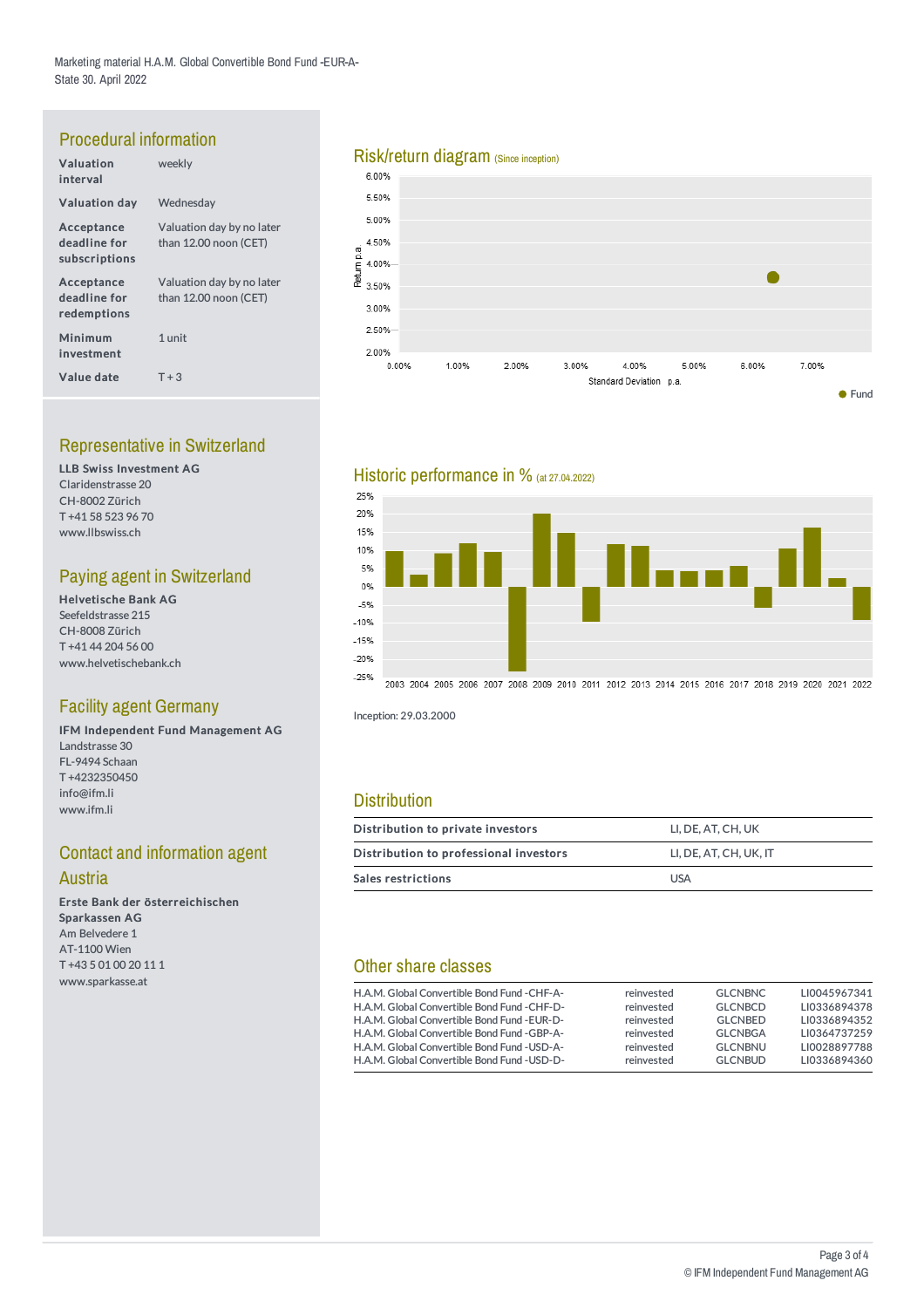## Procedural information

| Valuation<br>interval                       | weekly                                             |
|---------------------------------------------|----------------------------------------------------|
| <b>Valuation day</b>                        | Wednesday                                          |
| Acceptance<br>deadline for<br>subscriptions | Valuation day by no later<br>than 12.00 noon (CET) |
| Acceptance<br>deadline for<br>redemptions   | Valuation day by no later<br>than 12.00 noon (CET) |
| Minimum<br>investment                       | 1 unit                                             |
| Value date                                  | $T + 3$                                            |

## Representative in Switzerland

LLB Swiss Investment AG Claridenstrasse 20 CH-8002 Zürich T +41 58 523 96 70 www.llbswiss.ch

## Paying agent in Switzerland

Helvetische Bank AG Seefeldstrasse 215 CH-8008 Zürich T +41 44 204 56 00 www.helvetischebank.ch

## Facility agent Germany

IFM Independent Fund Management AG Landstrasse 30 FL-9494 Schaan T +4232350450 info@ifm.li www.ifm.li

## **Contact and information agent**

#### **Austria**

Erste Bank der österreichischen Sparkassen AG Am Belvedere 1 AT-1100 Wien T +43 5 01 00 20 11 1 www.sparkasse.at

## Risk/return diagram (Since inception)<br>6.00%



## Historic performance in % (at 27.04.2022)



2003 2004 2005 2006 2007 2008 2009 2010 2011 2012 2013 2014 2015 2016 2017 2018 2019 2020 2021 2022

Inception: 29.03.2000

## **Distribution**

| Distribution to private investors      | LI. DE. AT. CH. UK     |  |  |  |
|----------------------------------------|------------------------|--|--|--|
| Distribution to professional investors | LI. DE. AT. CH. UK. IT |  |  |  |
| Sales restrictions                     | <b>USA</b>             |  |  |  |

## Other share classes

| H.A.M. Global Convertible Bond Fund - CHF-A- | reinvested | <b>GLCNBNC</b> | LI0045967341 |
|----------------------------------------------|------------|----------------|--------------|
| H.A.M. Global Convertible Bond Fund - CHF-D- | reinvested | <b>GLCNBCD</b> | LI0336894378 |
| H.A.M. Global Convertible Bond Fund - EUR-D- | reinvested | <b>GLCNBED</b> | LI0336894352 |
| H.A.M. Global Convertible Bond Fund -GBP-A-  | reinvested | <b>GLCNBGA</b> | LI0364737259 |
| H.A.M. Global Convertible Bond Fund - USD-A- | reinvested | <b>GLCNBNU</b> | LI0028897788 |
| H.A.M. Global Convertible Bond Fund - USD-D- | reinvested | <b>GLCNBUD</b> | LI0336894360 |